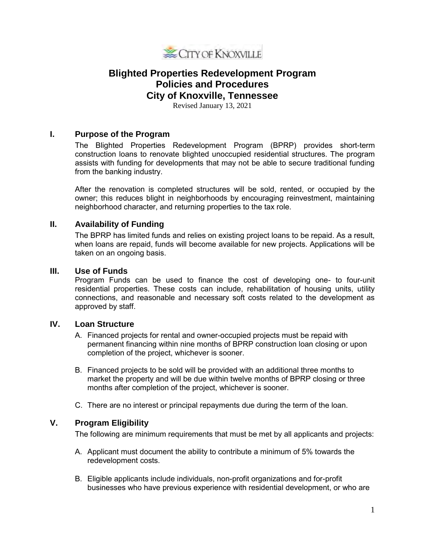

# **Blighted Properties Redevelopment Program Policies and Procedures City of Knoxville, Tennessee**

Revised January 13, 2021

## **I. Purpose of the Program**

The Blighted Properties Redevelopment Program (BPRP) provides short-term construction loans to renovate blighted unoccupied residential structures. The program assists with funding for developments that may not be able to secure traditional funding from the banking industry.

After the renovation is completed structures will be sold, rented, or occupied by the owner; this reduces blight in neighborhoods by encouraging reinvestment, maintaining neighborhood character, and returning properties to the tax role.

## **II. Availability of Funding**

The BPRP has limited funds and relies on existing project loans to be repaid. As a result, when loans are repaid, funds will become available for new projects. Applications will be taken on an ongoing basis.

#### **III. Use of Funds**

Program Funds can be used to finance the cost of developing one- to four-unit residential properties. These costs can include, rehabilitation of housing units, utility connections, and reasonable and necessary soft costs related to the development as approved by staff.

#### **IV. Loan Structure**

- A. Financed projects for rental and owner-occupied projects must be repaid with permanent financing within nine months of BPRP construction loan closing or upon completion of the project, whichever is sooner.
- B. Financed projects to be sold will be provided with an additional three months to market the property and will be due within twelve months of BPRP closing or three months after completion of the project, whichever is sooner.
- C. There are no interest or principal repayments due during the term of the loan.

#### **V. Program Eligibility**

The following are minimum requirements that must be met by all applicants and projects:

- A. Applicant must document the ability to contribute a minimum of 5% towards the redevelopment costs.
- B. Eligible applicants include individuals, non-profit organizations and for-profit businesses who have previous experience with residential development, or who are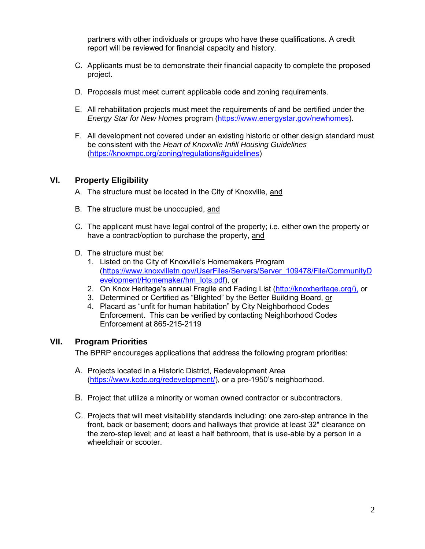partners with other individuals or groups who have these qualifications. A credit report will be reviewed for financial capacity and history.

- C. Applicants must be to demonstrate their financial capacity to complete the proposed project.
- D. Proposals must meet current applicable code and zoning requirements.
- E. All rehabilitation projects must meet the requirements of and be certified under the *Energy Star for New Homes* program [\(https://www.energystar.gov/newhomes\)](https://www.energystar.gov/newhomes).
- F. All development not covered under an existing historic or other design standard must be consistent with the *Heart of Knoxville Infill Housing Guidelines* [\(https://knoxmpc.org/zoning/regulations#guidelines\)](https://knoxmpc.org/zoning/regulations%23guidelines)

#### **VI. Property Eligibility**

- A. The structure must be located in the City of Knoxville, and
- B. The structure must be unoccupied, and
- C. The applicant must have legal control of the property; i.e. either own the property or have a contract/option to purchase the property, and
- D. The structure must be:
	- 1. Listed on the City of Knoxville's Homemakers Program ([https://www.knoxvilletn.gov/UserFiles/Servers/Server\\_109478/File/CommunityD](https://www.knoxvilletn.gov/UserFiles/Servers/Server_109478/File/CommunityDevelopment/Homemaker/hm_lots.pdf) [evelopment/Homemaker/hm\\_lots.pdf\)](https://www.knoxvilletn.gov/UserFiles/Servers/Server_109478/File/CommunityDevelopment/Homemaker/hm_lots.pdf), or
	- 2. On Knox Heritage's annual Fragile and Fading List [\(http://knoxheritage.org/\),](http://knoxheritage.org/),) or
	- 3. Determined or Certified as "Blighted" by the Better Building Board, or
	- 4. Placard as "unfit for human habitation" by City Neighborhood Codes Enforcement. This can be verified by contacting Neighborhood Codes Enforcement at 865-215-2119

#### **VII. Program Priorities**

The BPRP encourages applications that address the following program priorities:

- A. Projects located in a Historic District, Redevelopment Area [\(https://www.kcdc.org/redevelopment/\)](https://www.kcdc.org/redevelopment/), or a pre-1950's neighborhood.
- B. Project that utilize a minority or woman owned contractor or subcontractors.
- C. Projects that will meet visitability standards including: one zero-step entrance in the front, back or basement; doors and hallways that provide at least 32" clearance on the zero-step level; and at least a half bathroom, that is use-able by a person in a wheelchair or scooter.